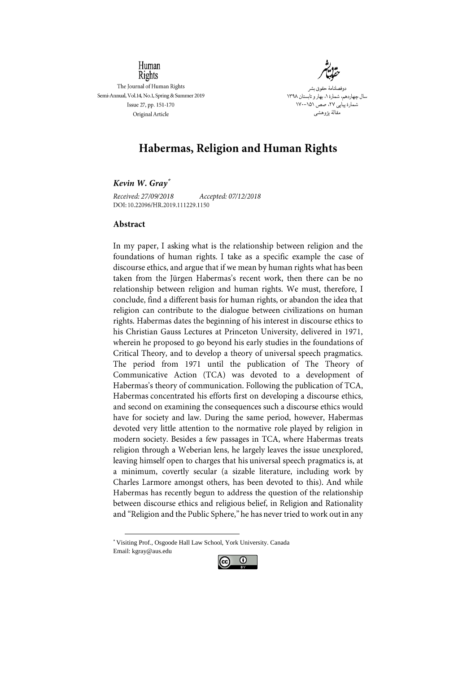

Rights The Journal of Human Rights Semi-Annual, Vol.14, No.1, Spring & Summer 2019 Issue 27, pp. 151-170 Original Article

Human

دوفصلنامۀ حقوق بشر سال چهاردهم، شمارۀ،1 بهار و تابستان 1398 ۱۷۰–۱۷۰۱ .<br>مقالۀ پژوها

# **Habermas, Religion and Human Rights**

# **\***

Received: 27/09/2018 Accepted: 07/12/2018 DOI: 10.22096/HR.2019.111229.1150

## Abstract

In my paper, I asking what is the relationship between religion and the foundations of human rights. I take as a specific example the case of discourse ethics, and argue that if we mean by human rights what has been taken from the Jürgen Habermas's recent work, then there can be no relationship between religion and human rights. We must, therefore, I conclude, find a different basis for human rights, or abandon the idea that religion can contribute to the dialogue between civilizations on human rights. Habermas dates the beginning of his interest in discourse ethics to his Christian Gauss Lectures at Princeton University, delivered in 1971, wherein he proposed to go beyond his early studies in the foundations of Critical Theory, and to develop a theory of universal speech pragmatics. The period from 1971 until the publication of The Theory of Communicative Action (TCA) was devoted to a development of Habermas's theory of communication. Following the publication of TCA, Habermas concentrated his efforts first on developing a discourse ethics, and second on examining the consequences such a discourse ethics would have for society and law. During the same period, however, Habermas devoted very little attention to the normative role played by religion in modern society. Besides a few passages in TCA, where Habermas treats religion through a Weberian lens, he largely leaves the issue unexplored, leaving himself open to charges that his universal speech pragmatics is, at a minimum, covertly secular (a sizable literature, including work by Charles Larmore amongst others, has been devoted to this). And while Habermas has recently begun to address the question of the relationship between discourse ethics and religious belief, in Religion and Rationality and "Religion and the Public Sphere," he has never tried to work out in any

\* Visiting Prof., Osgoode Hall Law School, York University. Canada Email: kgray@aus.edu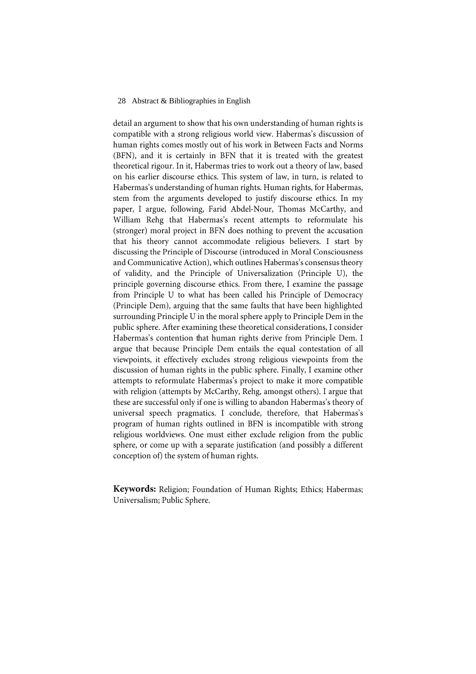### 28 Abstract & Bibliographies in English

detail an argument to show that his own understanding of human rights is compatible with a strong religious world view. Habermas's discussion of human rights comes mostly out of his work in Between Facts and Norms (BFN), and it is certainly in BFN that it is treated with the greatest theoretical rigour. In it, Habermas tries to work out a theory of law, based on his earlier discourse ethics. This system of law, in turn, is related to Habermas's understanding of human rights. Human rights, for Habermas, stem from the arguments developed to justify discourse ethics. In my paper, I argue, following, Farid Abdel-Nour, Thomas McCarthy, and William Rehg that Habermas's recent attempts to reformulate his (stronger) moral project in BFN does nothing to prevent the accusation that his theory cannot accommodate religious believers. I start by discussing the Principle of Discourse (introduced in Moral Consciousness and Communicative Action), which outlines Habermas's consensus theory of validity, and the Principle of Universalization (Principle U), the principle governing discourse ethics. From there, I examine the passage from Principle U to what has been called his Principle of Democracy (Principle Dem), arguing that the same faults that have been highlighted surrounding Principle U in the moral sphere apply to Principle Dem in the public sphere. After examining these theoretical considerations, I consider Habermas's contention that human rights derive from Principle Dem. I argue that because Principle Dem entails the equal contestation of all viewpoints, it effectively excludes strong religious viewpoints from the discussion of human rights in the public sphere. Finally, I examine other attempts to reformulate Habermas's project to make it more compatible with religion (attempts by McCarthy, Rehg, amongst others). I argue that these are successful only if one is willing to abandon Habermas's theory of universal speech pragmatics. I conclude, therefore, that Habermas's program of human rights outlined in BFN is incompatible with strong religious worldviews. One must either exclude religion from the public sphere, or come up with a separate justification (and possibly a different conception of the system of human rights.

**Keywords:** Religion; Foundation of Human Rights; Ethics; Habermas; Universalism; Public Sphere.